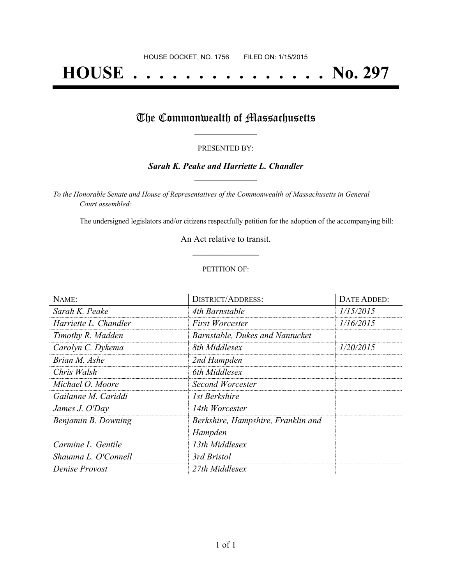# **HOUSE . . . . . . . . . . . . . . . No. 297**

## The Commonwealth of Massachusetts

#### PRESENTED BY:

#### *Sarah K. Peake and Harriette L. Chandler* **\_\_\_\_\_\_\_\_\_\_\_\_\_\_\_\_\_**

*To the Honorable Senate and House of Representatives of the Commonwealth of Massachusetts in General Court assembled:*

The undersigned legislators and/or citizens respectfully petition for the adoption of the accompanying bill:

An Act relative to transit. **\_\_\_\_\_\_\_\_\_\_\_\_\_\_\_**

#### PETITION OF:

| NAME:                 | <b>DISTRICT/ADDRESS:</b>           | DATE ADDED: |
|-----------------------|------------------------------------|-------------|
| Sarah K. Peake        | 4th Barnstable                     | 1/15/2015   |
| Harriette L. Chandler | First Worcester                    | 1/16/2015   |
| Timothy R. Madden     | Barnstable, Dukes and Nantucket    |             |
| Carolyn C. Dykema     | 8th Middlesex                      | 1/20/2015   |
| Brian M. Ashe         | 2nd Hampden                        |             |
| Chris Walsh           | 6th Middlesex                      |             |
| Michael O. Moore      | Second Worcester                   |             |
| Gailanne M. Cariddi   | 1st Berkshire                      |             |
| James J. O'Day        | 14th Worcester                     |             |
| Benjamin B. Downing   | Berkshire, Hampshire, Franklin and |             |
|                       | Hampden                            |             |
| Carmine L. Gentile    | 13th Middlesex                     |             |
| Shaunna L. O'Connell  | 3rd Bristol                        |             |
| Denise Provost        | 27th Middlesex                     |             |